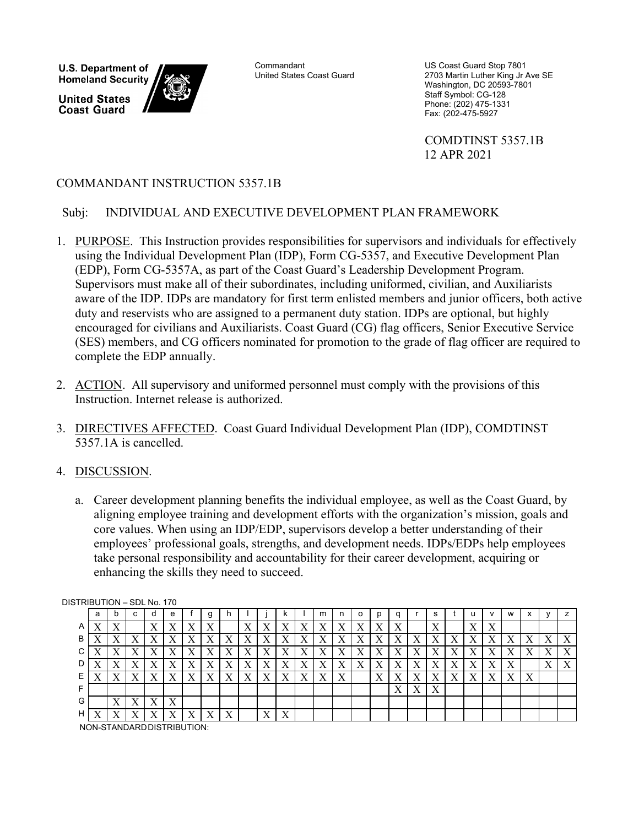**U.S. Department of Homeland Security** 

**United States Coast Guard** 



**Commandant** United States Coast Guard

US Coast Guard Stop 7801 2703 Martin Luther King Jr Ave SE Washington, DC 20593-7801 Staff Symbol: CG-128 Phone: (202) 475-1331 Fax: (202-475-5927

 COMDTINST 5357.1B 12 APR 2021

# COMMANDANT INSTRUCTION 5357.1B

## Subj: INDIVIDUAL AND EXECUTIVE DEVELOPMENT PLAN FRAMEWORK

- 1. PURPOSE. This Instruction provides responsibilities for supervisors and individuals for effectively using the Individual Development Plan (IDP), Form CG-5357, and Executive Development Plan (EDP), Form CG-5357A, as part of the Coast Guard's Leadership Development Program. Supervisors must make all of their subordinates, including uniformed, civilian, and Auxiliarists aware of the IDP. IDPs are mandatory for first term enlisted members and junior officers, both active duty and reservists who are assigned to a permanent duty station. IDPs are optional, but highly encouraged for civilians and Auxiliarists. Coast Guard (CG) flag officers, Senior Executive Service (SES) members, and CG officers nominated for promotion to the grade of flag officer are required to complete the EDP annually.
- 2. ACTION. All supervisory and uniformed personnel must comply with the provisions of this Instruction. Internet release is authorized.
- 3. DIRECTIVES AFFECTED. Coast Guard Individual Development Plan (IDP), COMDTINST 5357.1A is cancelled.

## 4. DISCUSSION.

a. Career development planning benefits the individual employee, as well as the Coast Guard, by aligning employee training and development efforts with the organization's mission, goals and core values. When using an IDP/EDP, supervisors develop a better understanding of their employees' professional goals, strengths, and development needs. IDPs/EDPs help employees take personal responsibility and accountability for their career development, acquiring or enhancing the skills they need to succeed.

| <u> 511 NDO 11ON – ODL NO. 17 U</u> |   |  |           |    |   |           |   |           |    |  |  |    |           |                 |                |   |           |           |    |         |           |    |           |                           |                |
|-------------------------------------|---|--|-----------|----|---|-----------|---|-----------|----|--|--|----|-----------|-----------------|----------------|---|-----------|-----------|----|---------|-----------|----|-----------|---------------------------|----------------|
|                                     | a |  |           |    | е |           | g |           |    |  |  |    | m         |                 |                |   |           |           |    |         |           | w  |           |                           |                |
| A                                   |   |  |           | ٦z |   | $\lambda$ |   |           | ٦Z |  |  |    | ∡⊾        |                 |                |   |           | ₹₹<br>4X  |    | 37<br>△ | $\Lambda$ |    |           |                           |                |
| в                                   |   |  |           |    |   | $\lambda$ |   | $\Lambda$ | ∡⊾ |  |  | ∡⊾ | $\Lambda$ | $\lambda$       | ∡⊾             |   | ∡         | $\lambda$ | ∡⊾ |         | $\lambda$ | ∡⊾ |           | $\Lambda$                 | $\Lambda$      |
| С                                   |   |  |           |    |   | $\lambda$ |   | $\Lambda$ |    |  |  | ∡  | $\Lambda$ | ۲Z<br>$\Lambda$ | ∡⊾             |   | ∡         | $\lambda$ |    |         | $\lambda$ |    | $\lambda$ | $\Lambda$                 | v<br>$\Lambda$ |
| D                                   |   |  |           |    |   | $\Lambda$ | ∡ | $\Lambda$ | ▾  |  |  | Λ  | $\Lambda$ | v<br>$\Lambda$  | $\overline{ }$ |   | $\Lambda$ | $\Lambda$ |    |         | Х         | ∡  |           | $\mathbf{v}$<br>$\Lambda$ | v<br>$\Lambda$ |
| Е                                   |   |  |           |    |   | $\Lambda$ |   | $\Lambda$ |    |  |  |    | $\Lambda$ | v<br>$\Lambda$  |                |   |           |           |    |         | X         | л  |           |                           |                |
|                                     |   |  |           |    |   |           |   |           |    |  |  |    |           |                 |                | X | Χ         | $\Lambda$ |    |         |           |    |           |                           |                |
| G.                                  |   |  | $\Lambda$ |    |   |           |   |           |    |  |  |    |           |                 |                |   |           |           |    |         |           |    |           |                           |                |
| H.                                  |   |  |           |    |   |           |   |           |    |  |  |    |           |                 |                |   |           |           |    |         |           |    |           |                           |                |

DISTRIBUTION – SDL No. 170

NON-STANDARD DISTRIBUTION: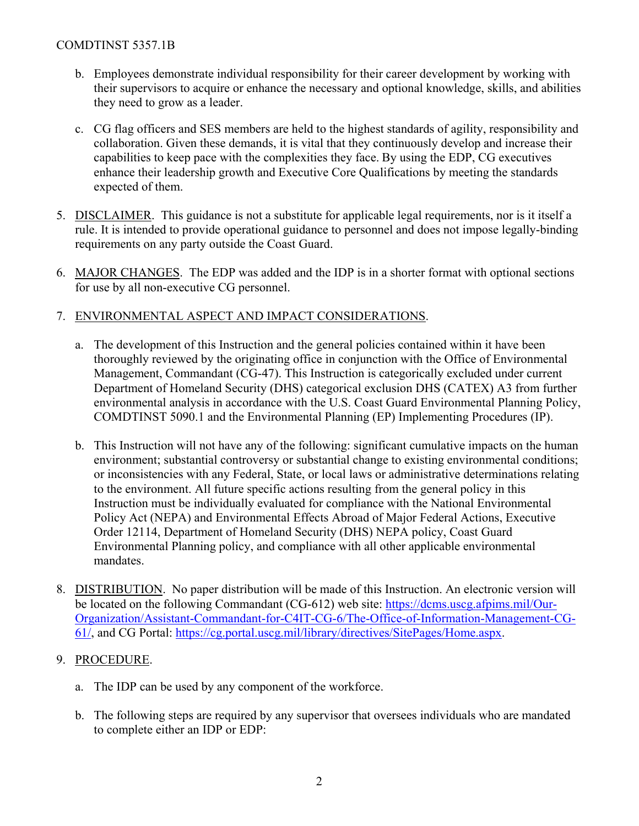### COMDTINST 5357.1B

- b. Employees demonstrate individual responsibility for their career development by working with their supervisors to acquire or enhance the necessary and optional knowledge, skills, and abilities they need to grow as a leader.
- c. CG flag officers and SES members are held to the highest standards of agility, responsibility and collaboration. Given these demands, it is vital that they continuously develop and increase their capabilities to keep pace with the complexities they face. By using the EDP, CG executives enhance their leadership growth and Executive Core Qualifications by meeting the standards expected of them.
- 5. DISCLAIMER. This guidance is not a substitute for applicable legal requirements, nor is it itself a rule. It is intended to provide operational guidance to personnel and does not impose legally-binding requirements on any party outside the Coast Guard.
- 6. MAJOR CHANGES. The EDP was added and the IDP is in a shorter format with optional sections for use by all non-executive CG personnel.

#### 7. ENVIRONMENTAL ASPECT AND IMPACT CONSIDERATIONS.

- a. The development of this Instruction and the general policies contained within it have been thoroughly reviewed by the originating office in conjunction with the Office of Environmental Management, Commandant (CG-47). This Instruction is categorically excluded under current Department of Homeland Security (DHS) categorical exclusion DHS (CATEX) A3 from further environmental analysis in accordance with the U.S. Coast Guard Environmental Planning Policy, COMDTINST 5090.1 and the Environmental Planning (EP) Implementing Procedures (IP).
- b. This Instruction will not have any of the following: significant cumulative impacts on the human environment; substantial controversy or substantial change to existing environmental conditions; or inconsistencies with any Federal, State, or local laws or administrative determinations relating to the environment. All future specific actions resulting from the general policy in this Instruction must be individually evaluated for compliance with the National Environmental Policy Act (NEPA) and Environmental Effects Abroad of Major Federal Actions, Executive Order 12114, Department of Homeland Security (DHS) NEPA policy, Coast Guard Environmental Planning policy, and compliance with all other applicable environmental mandates.
- 8. DISTRIBUTION. No paper distribution will be made of this Instruction. An electronic version will be located on the following Commandant (CG-612) web site: [https://dcms.uscg.afpims.mil/Our-](https://dcms.uscg.afpims.mil/Our-Organization/Assistant-Commandant-for-C4IT-CG-6/The-Office-of-Information-Management-CG-61/)[Organization/Assistant-Commandant-for-C4IT-CG-6/The-Office-of-Information-Management-CG-](https://dcms.uscg.afpims.mil/Our-Organization/Assistant-Commandant-for-C4IT-CG-6/The-Office-of-Information-Management-CG-61/)[61/,](https://dcms.uscg.afpims.mil/Our-Organization/Assistant-Commandant-for-C4IT-CG-6/The-Office-of-Information-Management-CG-61/) and CG Portal: [https://cg.portal.uscg.mil/library/directives/SitePages/Home.aspx.](https://cg.portal.uscg.mil/library/directives/SitePages/Home.aspx)

#### 9. PROCEDURE.

- a. The IDP can be used by any component of the workforce.
- b. The following steps are required by any supervisor that oversees individuals who are mandated to complete either an IDP or EDP: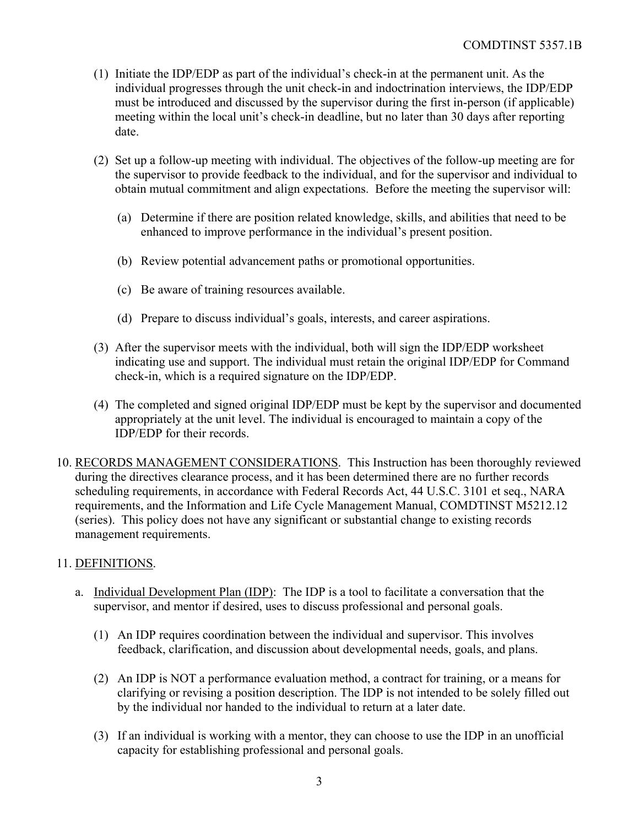- (1) Initiate the IDP/EDP as part of the individual's check-in at the permanent unit. As the individual progresses through the unit check-in and indoctrination interviews, the IDP/EDP must be introduced and discussed by the supervisor during the first in-person (if applicable) meeting within the local unit's check-in deadline, but no later than 30 days after reporting date.
- (2) Set up a follow-up meeting with individual. The objectives of the follow-up meeting are for the supervisor to provide feedback to the individual, and for the supervisor and individual to obtain mutual commitment and align expectations. Before the meeting the supervisor will:
	- (a) Determine if there are position related knowledge, skills, and abilities that need to be enhanced to improve performance in the individual's present position.
	- (b) Review potential advancement paths or promotional opportunities.
	- (c) Be aware of training resources available.
	- (d) Prepare to discuss individual's goals, interests, and career aspirations.
- (3) After the supervisor meets with the individual, both will sign the IDP/EDP worksheet indicating use and support. The individual must retain the original IDP/EDP for Command check-in, which is a required signature on the IDP/EDP.
- (4) The completed and signed original IDP/EDP must be kept by the supervisor and documented appropriately at the unit level. The individual is encouraged to maintain a copy of the IDP/EDP for their records.
- 10. RECORDS MANAGEMENT CONSIDERATIONS. This Instruction has been thoroughly reviewed during the directives clearance process, and it has been determined there are no further records scheduling requirements, in accordance with Federal Records Act, 44 U.S.C. 3101 et seq., NARA requirements, and the Information and Life Cycle Management Manual, COMDTINST M5212.12 (series). This policy does not have any significant or substantial change to existing records management requirements.

#### 11. DEFINITIONS.

- a. Individual Development Plan (IDP): The IDP is a tool to facilitate a conversation that the supervisor, and mentor if desired, uses to discuss professional and personal goals.
	- (1) An IDP requires coordination between the individual and supervisor. This involves feedback, clarification, and discussion about developmental needs, goals, and plans.
	- (2) An IDP is NOT a performance evaluation method, a contract for training, or a means for clarifying or revising a position description. The IDP is not intended to be solely filled out by the individual nor handed to the individual to return at a later date.
	- (3) If an individual is working with a mentor, they can choose to use the IDP in an unofficial capacity for establishing professional and personal goals.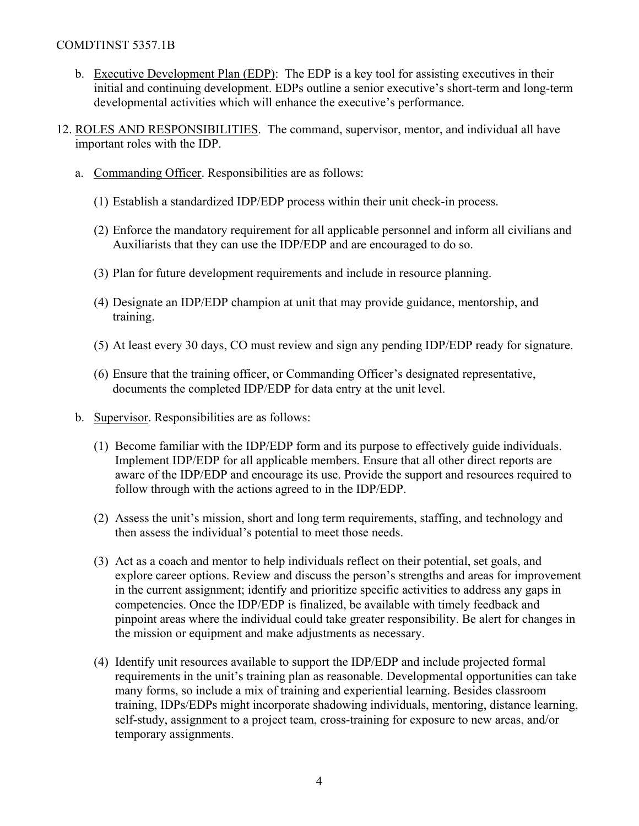#### COMDTINST 5357.1B

- b. Executive Development Plan (EDP): The EDP is a key tool for assisting executives in their initial and continuing development. EDPs outline a senior executive's short-term and long-term developmental activities which will enhance the executive's performance.
- 12. ROLES AND RESPONSIBILITIES. The command, supervisor, mentor, and individual all have important roles with the IDP.
	- a. Commanding Officer. Responsibilities are as follows:
		- (1) Establish a standardized IDP/EDP process within their unit check-in process.
		- (2) Enforce the mandatory requirement for all applicable personnel and inform all civilians and Auxiliarists that they can use the IDP/EDP and are encouraged to do so.
		- (3) Plan for future development requirements and include in resource planning.
		- (4) Designate an IDP/EDP champion at unit that may provide guidance, mentorship, and training.
		- (5) At least every 30 days, CO must review and sign any pending IDP/EDP ready for signature.
		- (6) Ensure that the training officer, or Commanding Officer's designated representative, documents the completed IDP/EDP for data entry at the unit level.
	- b. Supervisor. Responsibilities are as follows:
		- (1) Become familiar with the IDP/EDP form and its purpose to effectively guide individuals. Implement IDP/EDP for all applicable members. Ensure that all other direct reports are aware of the IDP/EDP and encourage its use. Provide the support and resources required to follow through with the actions agreed to in the IDP/EDP.
		- (2) Assess the unit's mission, short and long term requirements, staffing, and technology and then assess the individual's potential to meet those needs.
		- (3) Act as a coach and mentor to help individuals reflect on their potential, set goals, and explore career options. Review and discuss the person's strengths and areas for improvement in the current assignment; identify and prioritize specific activities to address any gaps in competencies. Once the IDP/EDP is finalized, be available with timely feedback and pinpoint areas where the individual could take greater responsibility. Be alert for changes in the mission or equipment and make adjustments as necessary.
		- (4) Identify unit resources available to support the IDP/EDP and include projected formal requirements in the unit's training plan as reasonable. Developmental opportunities can take many forms, so include a mix of training and experiential learning. Besides classroom training, IDPs/EDPs might incorporate shadowing individuals, mentoring, distance learning, self-study, assignment to a project team, cross-training for exposure to new areas, and/or temporary assignments.